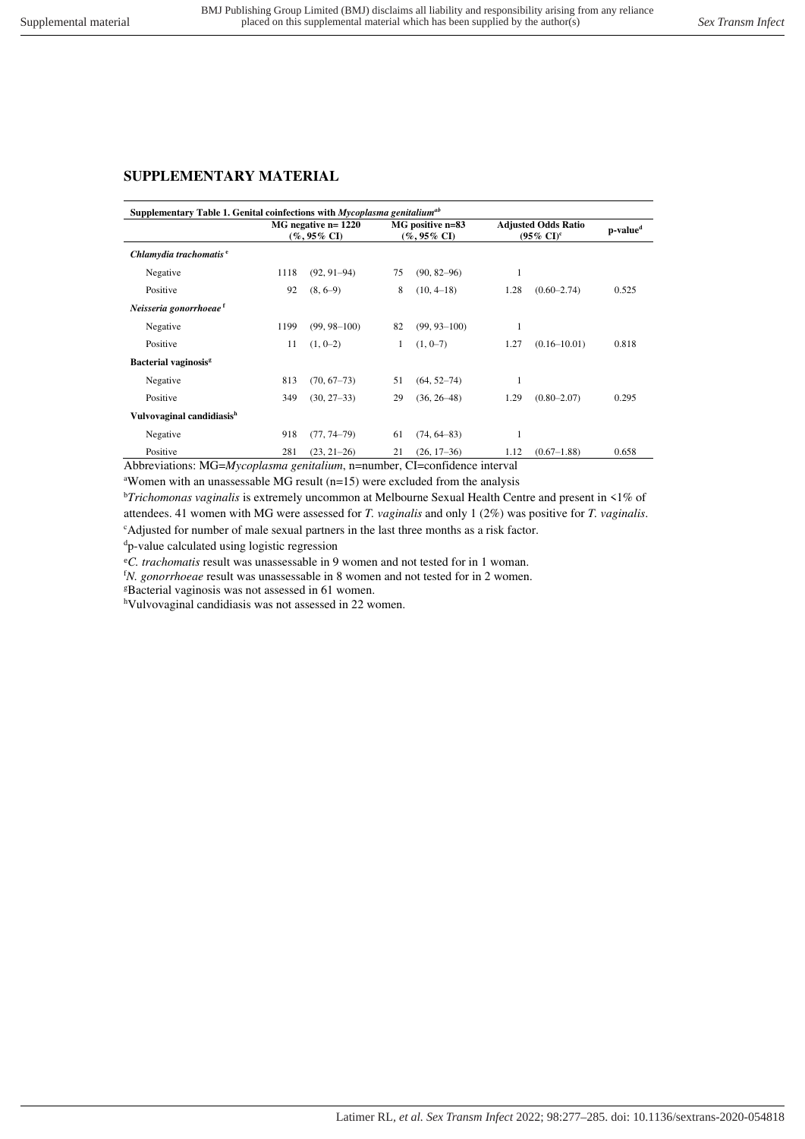## **SUPPLEMENTARY MATERIAL**

| Supplementary Table 1. Genital coinfections with <i>Mycoplasma genitalium</i> <sup>ab</sup> |                                            |                  |                                    |                  |                                                              |                  |                      |  |
|---------------------------------------------------------------------------------------------|--------------------------------------------|------------------|------------------------------------|------------------|--------------------------------------------------------------|------------------|----------------------|--|
|                                                                                             | $MG$ negative n= $1220$<br>$(\%$ , 95% CI) |                  | MG positive n=83<br>$($ %, 95% CI) |                  | <b>Adjusted Odds Ratio</b><br>$(95\% \text{ CI})^{\text{c}}$ |                  | p-value <sup>d</sup> |  |
| Chlamydia trachomatis <sup>e</sup>                                                          |                                            |                  |                                    |                  |                                                              |                  |                      |  |
| Negative                                                                                    | 1118                                       | $(92, 91-94)$    | 75                                 | $(90, 82 - 96)$  | 1                                                            |                  |                      |  |
| Positive                                                                                    | 92                                         | $(8, 6-9)$       | 8                                  | $(10, 4-18)$     | 1.28                                                         | $(0.60 - 2.74)$  | 0.525                |  |
| Neisseria gonorrhoeae <sup>f</sup>                                                          |                                            |                  |                                    |                  |                                                              |                  |                      |  |
| Negative                                                                                    | 1199                                       | $(99, 98 - 100)$ | 82                                 | $(99, 93 - 100)$ | 1                                                            |                  |                      |  |
| Positive                                                                                    | 11                                         | $(1, 0-2)$       |                                    | $(1, 0-7)$       | 1.27                                                         | $(0.16 - 10.01)$ | 0.818                |  |
| Bacterial vaginosis <sup>g</sup>                                                            |                                            |                  |                                    |                  |                                                              |                  |                      |  |
| Negative                                                                                    | 813                                        | $(70, 67 - 73)$  | 51                                 | $(64, 52 - 74)$  |                                                              |                  |                      |  |
| Positive                                                                                    | 349                                        | $(30, 27-33)$    | 29                                 | $(36, 26 - 48)$  | 1.29                                                         | $(0.80 - 2.07)$  | 0.295                |  |
| Vulvovaginal candidiasis <sup>h</sup>                                                       |                                            |                  |                                    |                  |                                                              |                  |                      |  |
| Negative                                                                                    | 918                                        | $(77, 74 - 79)$  | 61                                 | $(74, 64 - 83)$  | 1                                                            |                  |                      |  |
| Positive                                                                                    | 281                                        | $(23, 21-26)$    | 21                                 | $(26, 17-36)$    | 1.12                                                         | $(0.67 - 1.88)$  | 0.658                |  |

Abbreviations: MG=*Mycoplasma genitalium*, n=number, CI=confidence interval

<sup>a</sup>Women with an unassessable MG result ( $n=15$ ) were excluded from the analysis

<sup>b</sup>*Trichomonas vaginalis* is extremely uncommon at Melbourne Sexual Health Centre and present in <1% of attendees. 41 women with MG were assessed for *T. vaginalis* and only 1 (2%) was positive for *T. vaginalis*. <sup>c</sup>Adjusted for number of male sexual partners in the last three months as a risk factor.

<sup>d</sup>p-value calculated using logistic regression

<sup>e</sup>*C. trachomatis* result was unassessable in 9 women and not tested for in 1 woman.

<sup>f</sup>*N. gonorrhoeae* result was unassessable in 8 women and not tested for in 2 women.

<sup>g</sup>Bacterial vaginosis was not assessed in 61 women.

<sup>h</sup>Vulvovaginal candidiasis was not assessed in 22 women.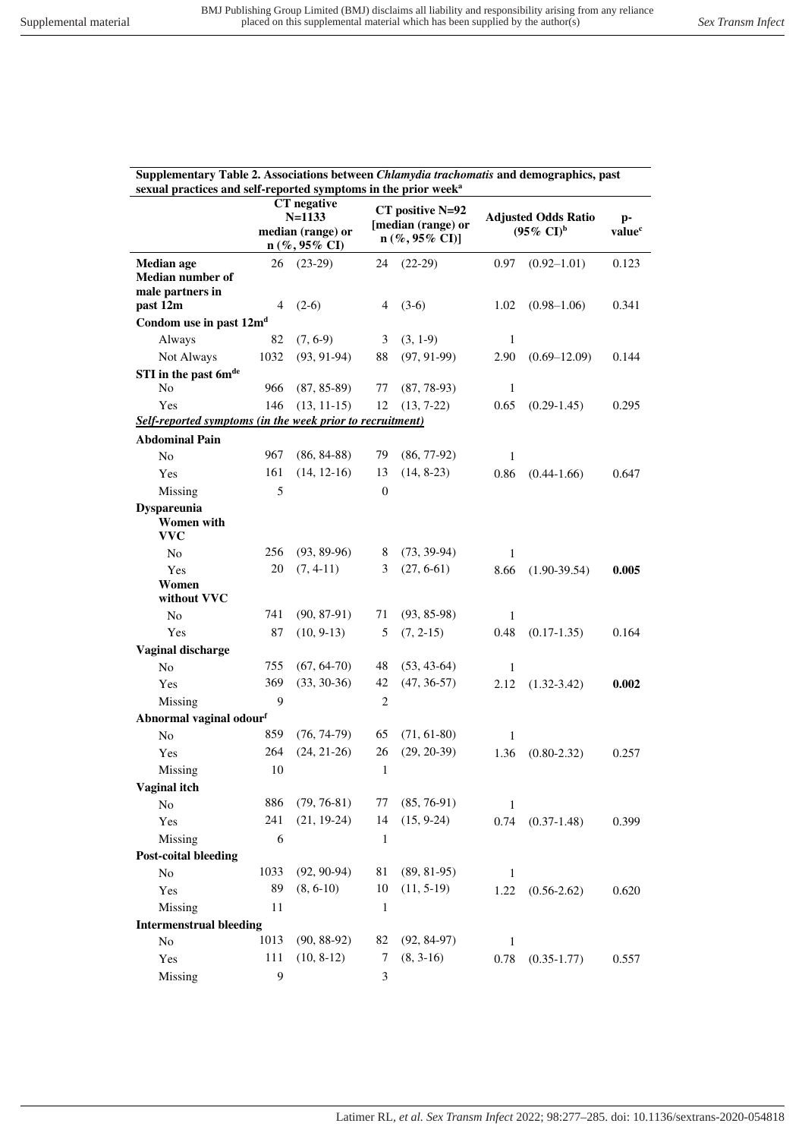| Supplementary Table 2. Associations between <i>Chlamydia trachomatis</i> and demographics, past<br>sexual practices and self-reported symptoms in the prior week <sup>a</sup> |            |                                                                             |                  |                                                                     |                                                     |                          |       |  |  |
|-------------------------------------------------------------------------------------------------------------------------------------------------------------------------------|------------|-----------------------------------------------------------------------------|------------------|---------------------------------------------------------------------|-----------------------------------------------------|--------------------------|-------|--|--|
|                                                                                                                                                                               |            | CT negative<br>$N = 1133$<br>median (range) or<br>$n (\%, 95\% \text{ CI})$ |                  | CT positive N=92<br>[median (range) or<br>$n (\%, 95\% \text{ CI})$ | <b>Adjusted Odds Ratio</b><br>$(95\% \text{ CI})^b$ | p-<br>value <sup>c</sup> |       |  |  |
| <b>Median</b> age                                                                                                                                                             | 26         | $(23-29)$                                                                   | 24               | $(22-29)$                                                           | 0.97                                                | $(0.92 - 1.01)$          | 0.123 |  |  |
| Median number of<br>male partners in<br>past 12m                                                                                                                              | 4          | $(2-6)$                                                                     | 4                | $(3-6)$                                                             | 1.02                                                | $(0.98 - 1.06)$          | 0.341 |  |  |
| Condom use in past 12m <sup>d</sup>                                                                                                                                           |            |                                                                             |                  |                                                                     |                                                     |                          |       |  |  |
| Always                                                                                                                                                                        | 82         | $(7, 6-9)$                                                                  | 3                | $(3, 1-9)$                                                          | $\mathbf{1}$                                        |                          |       |  |  |
| Not Always                                                                                                                                                                    | 1032       | $(93, 91-94)$                                                               | 88               | $(97, 91-99)$                                                       | 2.90                                                | $(0.69 - 12.09)$         | 0.144 |  |  |
| STI in the past 6mde<br>N <sub>0</sub>                                                                                                                                        | 966        | $(87, 85-89)$                                                               | 77               | $(87, 78-93)$                                                       | $\mathbf{1}$                                        |                          |       |  |  |
| Yes                                                                                                                                                                           | 146        | $(13, 11-15)$                                                               | 12               | $(13, 7-22)$                                                        | 0.65                                                | $(0.29-1.45)$            | 0.295 |  |  |
| Self-reported symptoms (in the week prior to recruitment)                                                                                                                     |            |                                                                             |                  |                                                                     |                                                     |                          |       |  |  |
| <b>Abdominal Pain</b>                                                                                                                                                         |            |                                                                             |                  |                                                                     |                                                     |                          |       |  |  |
| N <sub>o</sub>                                                                                                                                                                | 967        | $(86, 84-88)$                                                               | 79               | $(86, 77-92)$                                                       | 1                                                   |                          |       |  |  |
| Yes                                                                                                                                                                           | 161        | $(14, 12-16)$                                                               | 13               | $(14, 8-23)$                                                        | 0.86                                                | $(0.44 - 1.66)$          | 0.647 |  |  |
| Missing                                                                                                                                                                       | 5          |                                                                             | $\boldsymbol{0}$ |                                                                     |                                                     |                          |       |  |  |
| <b>Dyspareunia</b><br>Women with<br><b>VVC</b>                                                                                                                                |            |                                                                             |                  |                                                                     |                                                     |                          |       |  |  |
| N <sub>o</sub>                                                                                                                                                                | 256        | $(93, 89-96)$                                                               | 8                | $(73, 39-94)$                                                       | $\mathbf{1}$                                        |                          |       |  |  |
| Yes                                                                                                                                                                           | 20         | $(7, 4-11)$                                                                 | 3                | $(27, 6-61)$                                                        | 8.66                                                | $(1.90-39.54)$           | 0.005 |  |  |
| Women<br>without VVC                                                                                                                                                          |            |                                                                             |                  |                                                                     |                                                     |                          |       |  |  |
| N <sub>o</sub>                                                                                                                                                                | 741        | $(90, 87-91)$                                                               | 71               | $(93, 85-98)$                                                       | $\mathbf{1}$                                        |                          |       |  |  |
| Yes                                                                                                                                                                           | 87         | $(10, 9-13)$                                                                | 5                | $(7, 2-15)$                                                         | 0.48                                                | $(0.17-1.35)$            | 0.164 |  |  |
| Vaginal discharge                                                                                                                                                             |            |                                                                             |                  |                                                                     |                                                     |                          |       |  |  |
| No                                                                                                                                                                            | 755        | $(67, 64-70)$                                                               | 48               | $(53, 43-64)$                                                       | $\mathbf{1}$                                        |                          |       |  |  |
| Yes                                                                                                                                                                           | 369        | $(33, 30-36)$                                                               | 42               | $(47, 36-57)$                                                       | 2.12                                                | $(1.32 - 3.42)$          | 0.002 |  |  |
| Missing                                                                                                                                                                       | 9          |                                                                             | $\overline{c}$   |                                                                     |                                                     |                          |       |  |  |
| Abnormal vaginal odourf                                                                                                                                                       |            |                                                                             |                  |                                                                     |                                                     |                          |       |  |  |
| No                                                                                                                                                                            | 859        | $(76, 74-79)$                                                               | 65               | $(71, 61-80)$                                                       | $\mathbf{1}$                                        |                          |       |  |  |
| Yes                                                                                                                                                                           | 264        | $(24, 21-26)$                                                               | 26               | $(29, 20-39)$                                                       | 1.36                                                | $(0.80 - 2.32)$          | 0.257 |  |  |
| Missing                                                                                                                                                                       | 10         |                                                                             | 1                |                                                                     |                                                     |                          |       |  |  |
| Vaginal itch                                                                                                                                                                  |            |                                                                             |                  |                                                                     |                                                     |                          |       |  |  |
| No                                                                                                                                                                            | 886<br>241 | $(79, 76-81)$<br>$(21, 19-24)$                                              | 77<br>14         | $(85, 76-91)$<br>$(15, 9-24)$                                       | 1                                                   |                          |       |  |  |
| Yes<br>Missing                                                                                                                                                                | 6          |                                                                             | $\mathbf{1}$     |                                                                     | 0.74                                                | $(0.37-1.48)$            | 0.399 |  |  |
| <b>Post-coital bleeding</b>                                                                                                                                                   |            |                                                                             |                  |                                                                     |                                                     |                          |       |  |  |
| No                                                                                                                                                                            | 1033       | $(92, 90-94)$                                                               | 81               | $(89, 81-95)$                                                       | $\mathbf{1}$                                        |                          |       |  |  |
| Yes                                                                                                                                                                           | 89         | $(8, 6-10)$                                                                 | 10               | $(11, 5-19)$                                                        | 1.22                                                | $(0.56 - 2.62)$          | 0.620 |  |  |
| Missing                                                                                                                                                                       | 11         |                                                                             | $\mathbf{1}$     |                                                                     |                                                     |                          |       |  |  |
| <b>Intermenstrual bleeding</b>                                                                                                                                                |            |                                                                             |                  |                                                                     |                                                     |                          |       |  |  |
| No                                                                                                                                                                            | 1013       | $(90, 88-92)$                                                               | 82               | $(92, 84-97)$                                                       | $\mathbf{1}$                                        |                          |       |  |  |
| Yes                                                                                                                                                                           | 111        | $(10, 8-12)$                                                                | 7                | $(8, 3-16)$                                                         | 0.78                                                | $(0.35 - 1.77)$          | 0.557 |  |  |
| Missing                                                                                                                                                                       | 9          |                                                                             | 3                |                                                                     |                                                     |                          |       |  |  |
|                                                                                                                                                                               |            |                                                                             |                  |                                                                     |                                                     |                          |       |  |  |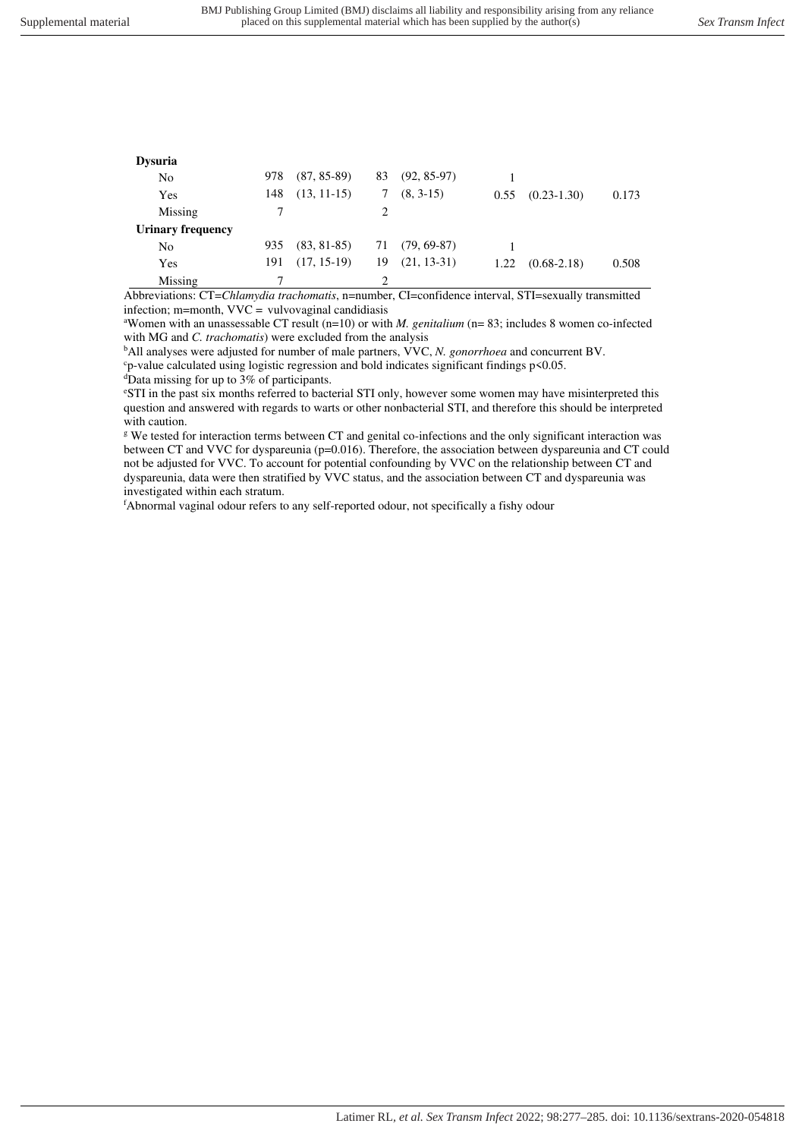| <b>Dysuria</b>           |     |                 |    |                |      |                 |       |
|--------------------------|-----|-----------------|----|----------------|------|-----------------|-------|
| N <sub>0</sub>           | 978 | $(87, 85-89)$   | 83 | $(92, 85-97)$  |      |                 |       |
| Yes                      | 148 | $(13, 11-15)$   | 7  | $(8, 3-15)$    | 0.55 | $(0.23 - 1.30)$ | 0.173 |
| Missing                  |     |                 |    |                |      |                 |       |
| <b>Urinary frequency</b> |     |                 |    |                |      |                 |       |
| No                       | 935 | $(83, 81 - 85)$ |    | 71 (79, 69-87) |      |                 |       |
| Yes                      | 191 | $(17, 15-19)$   | 19 | $(21, 13-31)$  | 1.22 | $(0.68 - 2.18)$ | 0.508 |
| Missing                  |     |                 |    |                |      |                 |       |

Abbreviations: CT=*Chlamydia trachomatis*, n=number, CI=confidence interval, STI=sexually transmitted infection; m=month,  $VVC =$  vulvovaginal candidiasis

<sup>a</sup>Women with an unassessable CT result (n=10) or with *M. genitalium* (n= 83; includes 8 women co-infected with MG and *C. trachomatis*) were excluded from the analysis

<sup>b</sup>All analyses were adjusted for number of male partners, VVC, *N. gonorrhoea* and concurrent BV.

<sup>c</sup>p-value calculated using logistic regression and bold indicates significant findings p<0.05.

 $\overline{d}$ Data missing for up to 3% of participants.

<sup>e</sup>STI in the past six months referred to bacterial STI only, however some women may have misinterpreted this question and answered with regards to warts or other nonbacterial STI, and therefore this should be interpreted with caution.

g We tested for interaction terms between CT and genital co-infections and the only significant interaction was between CT and VVC for dyspareunia (p=0.016). Therefore, the association between dyspareunia and CT could not be adjusted for VVC. To account for potential confounding by VVC on the relationship between CT and dyspareunia, data were then stratified by VVC status, and the association between CT and dyspareunia was investigated within each stratum.

<sup>f</sup>Abnormal vaginal odour refers to any self-reported odour, not specifically a fishy odour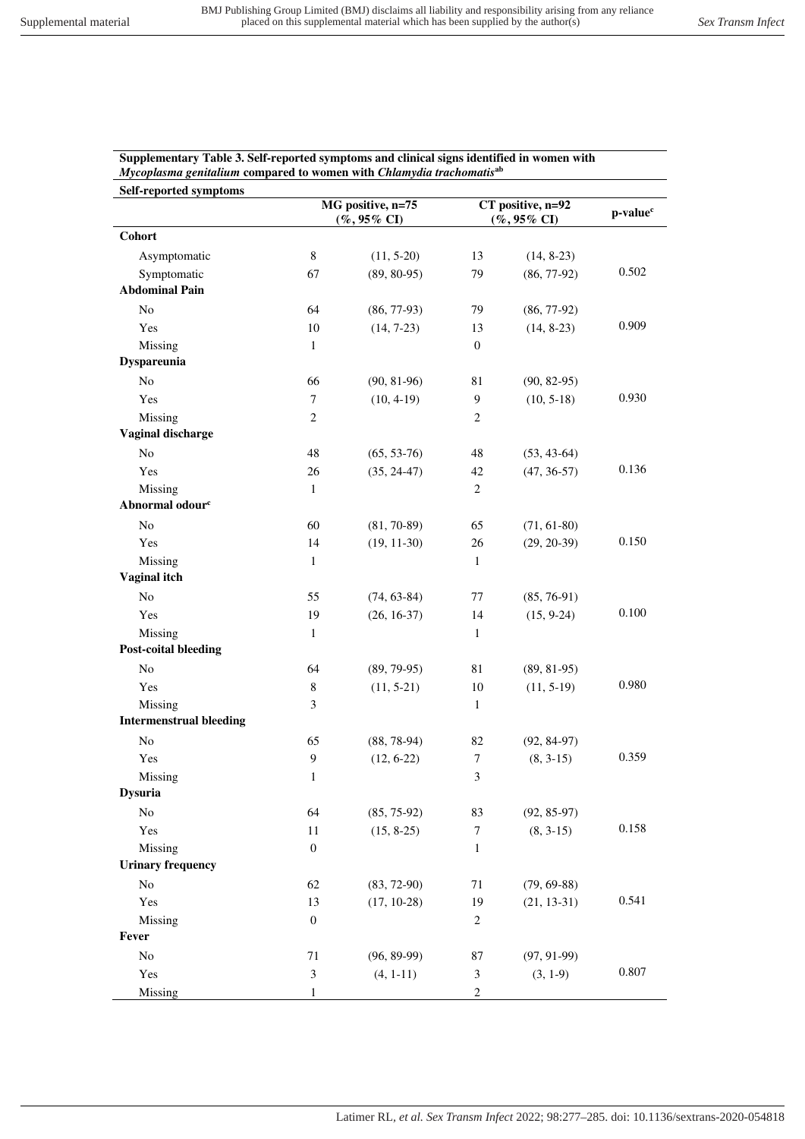| Mycoplasma genitalium compared to women with Chlamydia trachomatis <sup>ab</sup> |                  |                        |                             |                                      |       |  |
|----------------------------------------------------------------------------------|------------------|------------------------|-----------------------------|--------------------------------------|-------|--|
| Self-reported symptoms                                                           |                  | MG positive, n=75      |                             |                                      |       |  |
|                                                                                  |                  | $(%, 95\% \text{ CI})$ |                             | CT positive, n=92<br>$(\%$ , 95% CI) |       |  |
| Cohort                                                                           |                  |                        |                             |                                      |       |  |
| Asymptomatic                                                                     | $\,8\,$          | $(11, 5-20)$           | 13                          | $(14, 8-23)$                         |       |  |
| Symptomatic                                                                      | 67               | $(89, 80-95)$          | 79                          | $(86, 77-92)$                        | 0.502 |  |
| <b>Abdominal Pain</b>                                                            |                  |                        |                             |                                      |       |  |
| No                                                                               | 64               | $(86, 77-93)$          | 79                          | $(86, 77-92)$                        |       |  |
| Yes                                                                              | 10               | $(14, 7-23)$           | 13                          | $(14, 8-23)$                         | 0.909 |  |
| Missing                                                                          | $\mathbf{1}$     |                        | $\mathbf{0}$                |                                      |       |  |
| <b>Dyspareunia</b>                                                               |                  |                        |                             |                                      |       |  |
| No                                                                               | 66               | $(90, 81-96)$          | 81                          | $(90, 82-95)$                        |       |  |
| Yes                                                                              | $\tau$           | $(10, 4-19)$           | 9                           | $(10, 5-18)$                         | 0.930 |  |
| Missing                                                                          | $\mathbf{2}$     |                        | $\mathbf{2}$                |                                      |       |  |
| <b>Vaginal discharge</b>                                                         |                  |                        |                             |                                      |       |  |
| No                                                                               | 48               | $(65, 53-76)$          | 48                          | $(53, 43-64)$                        |       |  |
| Yes                                                                              | 26               | $(35, 24-47)$          | 42                          | $(47, 36-57)$                        | 0.136 |  |
| Missing                                                                          | $\mathbf{1}$     |                        | $\overline{c}$              |                                      |       |  |
| Abnormal odour <sup>c</sup>                                                      |                  |                        |                             |                                      |       |  |
| No                                                                               | 60               | $(81, 70-89)$          | 65                          | $(71, 61-80)$                        |       |  |
| Yes                                                                              | 14               | $(19, 11-30)$          | 26                          | $(29, 20-39)$                        | 0.150 |  |
| Missing                                                                          | $\mathbf{1}$     |                        | $\mathbf{1}$                |                                      |       |  |
| <b>Vaginal itch</b>                                                              |                  |                        |                             |                                      |       |  |
| No                                                                               | 55               | $(74, 63-84)$          | 77                          | $(85, 76-91)$                        |       |  |
| Yes                                                                              | 19               | $(26, 16-37)$          | 14                          | $(15, 9-24)$                         | 0.100 |  |
| Missing                                                                          | $\mathbf{1}$     |                        | 1                           |                                      |       |  |
| <b>Post-coital bleeding</b>                                                      |                  |                        |                             |                                      |       |  |
| No                                                                               | 64               | $(89, 79-95)$          | 81                          | $(89, 81-95)$                        |       |  |
| Yes                                                                              | $\,8\,$          | $(11, 5-21)$           | 10                          | $(11, 5-19)$                         | 0.980 |  |
| Missing                                                                          | 3                |                        | $\mathbf{1}$                |                                      |       |  |
| <b>Intermenstrual bleeding</b>                                                   |                  |                        |                             |                                      |       |  |
| No                                                                               | 65               | $(88, 78-94)$          | 82                          | $(92, 84-97)$                        |       |  |
| Yes                                                                              | 9                | $(12, 6-22)$           | $\tau$                      | $(8, 3-15)$                          | 0.359 |  |
| Missing                                                                          | $\mathbf{1}$     |                        | $\ensuremath{\mathfrak{Z}}$ |                                      |       |  |
| <b>Dysuria</b>                                                                   |                  |                        |                             |                                      |       |  |
| No                                                                               | 64               | $(85, 75-92)$          | 83                          | $(92, 85-97)$                        |       |  |
| Yes                                                                              | 11               | $(15, 8-25)$           | $\overline{7}$              | $(8, 3-15)$                          | 0.158 |  |
| Missing                                                                          | $\boldsymbol{0}$ |                        | 1                           |                                      |       |  |
| <b>Urinary frequency</b>                                                         |                  |                        |                             |                                      |       |  |
| No                                                                               | 62               | $(83, 72-90)$          | 71                          | $(79, 69-88)$                        |       |  |
| Yes                                                                              | 13               | $(17, 10-28)$          | 19                          | $(21, 13-31)$                        | 0.541 |  |
| Missing                                                                          | $\boldsymbol{0}$ |                        | $\sqrt{2}$                  |                                      |       |  |
| Fever                                                                            |                  |                        |                             |                                      |       |  |
| No                                                                               | 71               | $(96, 89-99)$          | 87                          | $(97, 91-99)$                        |       |  |
| Yes                                                                              | $\mathfrak{Z}$   | $(4, 1-11)$            | $\mathfrak{Z}$              | $(3, 1-9)$                           | 0.807 |  |
| Missing                                                                          | 1                |                        | $\sqrt{2}$                  |                                      |       |  |

**Supplementary Table 3. Self-reported symptoms and clinical signs identified in women with**  *Mycoplasma genitalium* **compared to women with** *Chlamydia trachomatis***ab**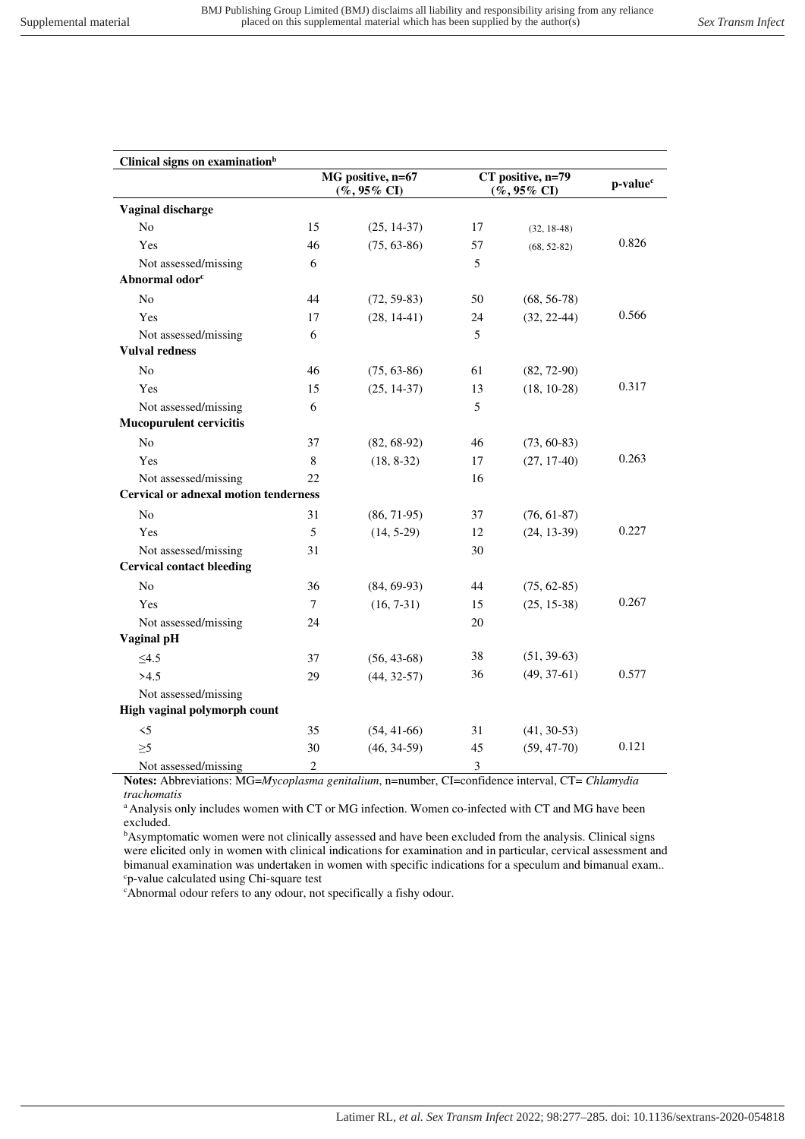| Clinical signs on examination <sup>b</sup>   |                                      |               |                                        |                      |       |
|----------------------------------------------|--------------------------------------|---------------|----------------------------------------|----------------------|-------|
|                                              | MG positive, n=67<br>$(\%$ , 95% CI) |               | $CT$ positive, n=79<br>$(\%$ , 95% CI) | p-value <sup>c</sup> |       |
| Vaginal discharge                            |                                      |               |                                        |                      |       |
| N <sub>0</sub>                               | 15                                   | $(25, 14-37)$ | 17                                     | $(32, 18-48)$        |       |
| Yes                                          | 46                                   | $(75, 63-86)$ | 57                                     | $(68, 52-82)$        | 0.826 |
| Not assessed/missing                         | 6                                    |               | 5                                      |                      |       |
| Abnormal odor <sup>c</sup>                   |                                      |               |                                        |                      |       |
| N <sub>0</sub>                               | 44                                   | $(72, 59-83)$ | 50                                     | $(68, 56-78)$        |       |
| Yes                                          | 17                                   | $(28, 14-41)$ | 24                                     | $(32, 22-44)$        | 0.566 |
| Not assessed/missing                         | 6                                    |               | 5                                      |                      |       |
| <b>Vulval redness</b>                        |                                      |               |                                        |                      |       |
| N <sub>o</sub>                               | 46                                   | $(75, 63-86)$ | 61                                     | $(82, 72-90)$        |       |
| Yes                                          | 15                                   | $(25, 14-37)$ | 13                                     | $(18, 10-28)$        | 0.317 |
| Not assessed/missing                         | 6                                    |               | 5                                      |                      |       |
| <b>Mucopurulent cervicitis</b>               |                                      |               |                                        |                      |       |
| N <sub>0</sub>                               | 37                                   | $(82, 68-92)$ | 46                                     | $(73, 60-83)$        |       |
| Yes                                          | 8                                    | $(18, 8-32)$  | 17                                     | $(27, 17-40)$        | 0.263 |
| Not assessed/missing                         | 22                                   |               | 16                                     |                      |       |
| <b>Cervical or adnexal motion tenderness</b> |                                      |               |                                        |                      |       |
| No                                           | 31                                   | $(86, 71-95)$ | 37                                     | $(76, 61-87)$        |       |
| Yes                                          | 5                                    | $(14, 5-29)$  | 12                                     | $(24, 13-39)$        | 0.227 |
| Not assessed/missing                         | 31                                   |               | 30                                     |                      |       |
| <b>Cervical contact bleeding</b>             |                                      |               |                                        |                      |       |
| N <sub>0</sub>                               | 36                                   | $(84, 69-93)$ | 44                                     | $(75, 62-85)$        |       |
| Yes                                          | 7                                    | $(16, 7-31)$  | 15                                     | $(25, 15-38)$        | 0.267 |
| Not assessed/missing                         | 24                                   |               | 20                                     |                      |       |
| Vaginal pH                                   |                                      |               |                                        |                      |       |
| $\leq4.5$                                    | 37                                   | $(56, 43-68)$ | 38                                     | $(51, 39-63)$        |       |
| >4.5                                         | 29                                   | $(44, 32-57)$ | 36                                     | $(49, 37-61)$        | 0.577 |
| Not assessed/missing                         |                                      |               |                                        |                      |       |
| High vaginal polymorph count                 |                                      |               |                                        |                      |       |
| $\leq$                                       | 35                                   | $(54, 41-66)$ | 31                                     | $(41, 30-53)$        |       |
| $\geq 5$                                     | 30                                   | $(46, 34-59)$ | 45                                     | $(59, 47-70)$        | 0.121 |
| Not assessed/missing                         | $\overline{2}$                       |               | $\mathfrak{Z}$                         |                      |       |

**Notes:** Abbreviations: MG=*Mycoplasma genitalium*, n=number, CI=confidence interval, CT= *Chlamydia trachomatis*

<sup>a</sup> Analysis only includes women with CT or MG infection. Women co-infected with CT and MG have been excluded.

<sup>b</sup>Asymptomatic women were not clinically assessed and have been excluded from the analysis. Clinical signs were elicited only in women with clinical indications for examination and in particular, cervical assessment and bimanual examination was undertaken in women with specific indications for a speculum and bimanual exam.. <sup>c</sup>p-value calculated using Chi-square test

<sup>c</sup>Abnormal odour refers to any odour, not specifically a fishy odour.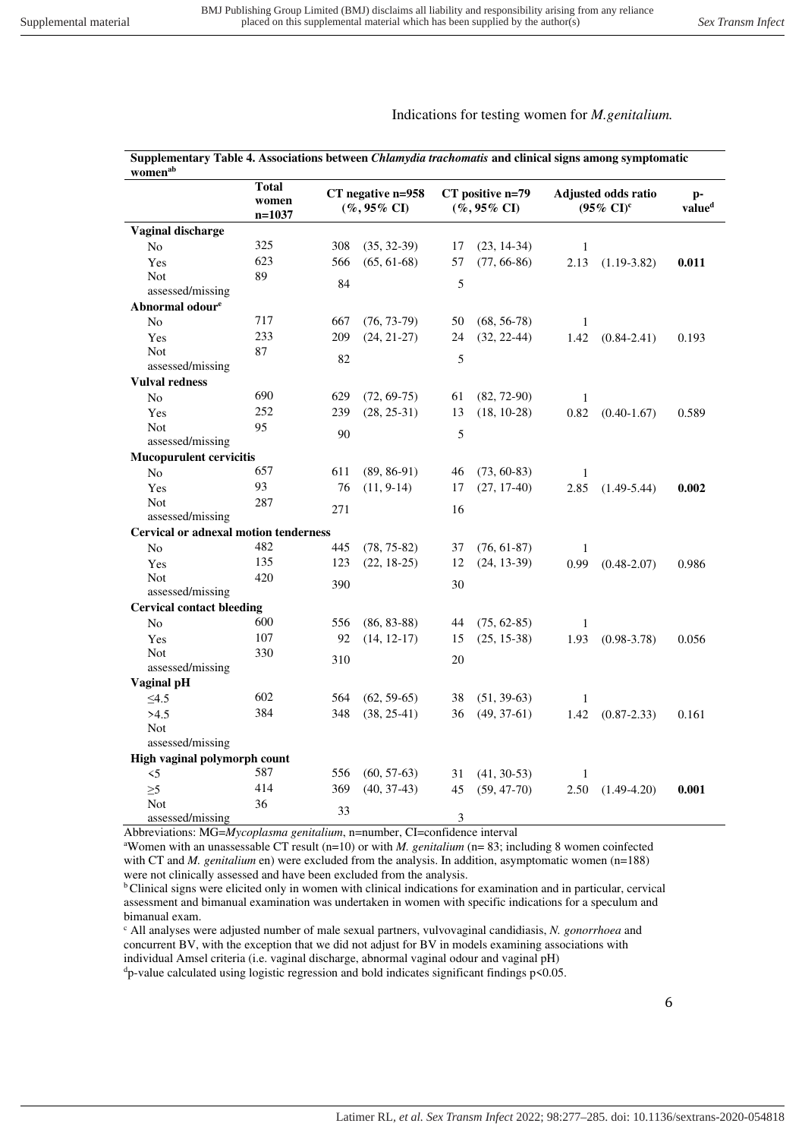## Indications for testing women for *M.genitalium.*

| Supplementary Table 4. Associations between Chlamydia trachomatis and clinical signs among symptomatic<br>women <sup>ab</sup> |                                   |     |                                      |    |                                     |              |                                              |       |
|-------------------------------------------------------------------------------------------------------------------------------|-----------------------------------|-----|--------------------------------------|----|-------------------------------------|--------------|----------------------------------------------|-------|
|                                                                                                                               | <b>Total</b><br>women<br>$n=1037$ |     | CT negative n=958<br>$(\%$ , 95% CI) |    | CT positive n=79<br>$(\%$ , 95% CI) |              | Adjusted odds ratio<br>$(95\% \text{ CI})^c$ |       |
| Vaginal discharge                                                                                                             |                                   |     |                                      |    |                                     |              |                                              |       |
| N <sub>o</sub>                                                                                                                | 325                               | 308 | $(35, 32-39)$                        | 17 | $(23, 14-34)$                       | 1            |                                              |       |
| Yes                                                                                                                           | 623                               | 566 | $(65, 61-68)$                        | 57 | $(77, 66-86)$                       | 2.13         | $(1.19-3.82)$                                | 0.011 |
| <b>Not</b>                                                                                                                    | 89                                | 84  |                                      | 5  |                                     |              |                                              |       |
| assessed/missing                                                                                                              |                                   |     |                                      |    |                                     |              |                                              |       |
| Abnormal odour <sup>e</sup>                                                                                                   |                                   |     |                                      |    |                                     |              |                                              |       |
| No                                                                                                                            | 717                               | 667 | $(76, 73-79)$                        | 50 | $(68, 56-78)$                       | $\mathbf{1}$ |                                              |       |
| Yes                                                                                                                           | 233                               | 209 | $(24, 21-27)$                        | 24 | $(32, 22-44)$                       | 1.42         | $(0.84 - 2.41)$                              | 0.193 |
| <b>Not</b>                                                                                                                    | 87                                | 82  |                                      | 5  |                                     |              |                                              |       |
| assessed/missing                                                                                                              |                                   |     |                                      |    |                                     |              |                                              |       |
| <b>Vulval redness</b>                                                                                                         |                                   |     |                                      |    |                                     |              |                                              |       |
| N <sub>0</sub>                                                                                                                | 690                               | 629 | $(72, 69-75)$                        | 61 | $(82, 72-90)$                       | $\mathbf{1}$ |                                              |       |
| Yes                                                                                                                           | 252                               | 239 | $(28, 25-31)$                        | 13 | $(18, 10-28)$                       | 0.82         | $(0.40 - 1.67)$                              | 0.589 |
| Not<br>assessed/missing                                                                                                       | 95                                | 90  |                                      | 5  |                                     |              |                                              |       |
| <b>Mucopurulent cervicitis</b>                                                                                                |                                   |     |                                      |    |                                     |              |                                              |       |
| No                                                                                                                            | 657                               | 611 | $(89, 86-91)$                        | 46 | $(73, 60-83)$                       | $\mathbf{1}$ |                                              |       |
| Yes                                                                                                                           | 93                                | 76  | $(11, 9-14)$                         | 17 | $(27, 17-40)$                       | 2.85         |                                              | 0.002 |
| <b>Not</b>                                                                                                                    | 287                               |     |                                      |    |                                     |              | $(1.49 - 5.44)$                              |       |
| assessed/missing                                                                                                              |                                   | 271 |                                      | 16 |                                     |              |                                              |       |
| <b>Cervical or adnexal motion tenderness</b>                                                                                  |                                   |     |                                      |    |                                     |              |                                              |       |
| No                                                                                                                            | 482                               | 445 | $(78, 75-82)$                        | 37 | $(76, 61-87)$                       | 1            |                                              |       |
| Yes                                                                                                                           | 135                               | 123 | $(22, 18-25)$                        | 12 | $(24, 13-39)$                       | 0.99         | $(0.48 - 2.07)$                              | 0.986 |
| <b>Not</b>                                                                                                                    | 420                               |     |                                      |    |                                     |              |                                              |       |
| assessed/missing                                                                                                              |                                   | 390 |                                      | 30 |                                     |              |                                              |       |
| <b>Cervical contact bleeding</b>                                                                                              |                                   |     |                                      |    |                                     |              |                                              |       |
| No                                                                                                                            | 600                               | 556 | $(86, 83-88)$                        | 44 | $(75, 62-85)$                       | $\mathbf{1}$ |                                              |       |
| Yes                                                                                                                           | 107                               | 92  | $(14, 12-17)$                        | 15 | $(25, 15-38)$                       | 1.93         | $(0.98 - 3.78)$                              | 0.056 |
| Not                                                                                                                           | 330                               | 310 |                                      | 20 |                                     |              |                                              |       |
| assessed/missing                                                                                                              |                                   |     |                                      |    |                                     |              |                                              |       |
| Vaginal pH                                                                                                                    |                                   |     |                                      |    |                                     |              |                                              |       |
| $\leq4.5$                                                                                                                     | 602                               | 564 | $(62, 59-65)$                        | 38 | $(51, 39-63)$                       | $\mathbf{1}$ |                                              |       |
| >4.5                                                                                                                          | 384                               | 348 | $(38, 25-41)$                        | 36 | $(49, 37-61)$                       | 1.42         | $(0.87 - 2.33)$                              | 0.161 |
| <b>Not</b>                                                                                                                    |                                   |     |                                      |    |                                     |              |                                              |       |
| assessed/missing                                                                                                              |                                   |     |                                      |    |                                     |              |                                              |       |
| High vaginal polymorph count                                                                                                  |                                   |     |                                      |    |                                     |              |                                              |       |
| $\leq$ 5                                                                                                                      | 587                               | 556 | $(60, 57-63)$                        | 31 | $(41, 30-53)$                       | $\mathbf{1}$ |                                              |       |
| $\geq 5$                                                                                                                      | 414                               | 369 | $(40, 37-43)$                        | 45 | $(59, 47-70)$                       | 2.50         | $(1.49 - 4.20)$                              | 0.001 |
| <b>Not</b>                                                                                                                    | 36                                | 33  |                                      |    |                                     |              |                                              |       |
| assessed/missing                                                                                                              |                                   |     |                                      | 3  |                                     |              |                                              |       |

Abbreviations: MG=*Mycoplasma genitalium*, n=number, CI=confidence interval

<sup>a</sup>Women with an unassessable CT result (n=10) or with *M. genitalium* (n= 83; including 8 women coinfected with CT and *M. genitalium* en) were excluded from the analysis. In addition, asymptomatic women (n=188) were not clinically assessed and have been excluded from the analysis.

<sup>b</sup>Clinical signs were elicited only in women with clinical indications for examination and in particular, cervical assessment and bimanual examination was undertaken in women with specific indications for a speculum and bimanual exam.

c All analyses were adjusted number of male sexual partners, vulvovaginal candidiasis, *N. gonorrhoea* and concurrent BV, with the exception that we did not adjust for BV in models examining associations with individual Amsel criteria (i.e. vaginal discharge, abnormal vaginal odour and vaginal pH)  $d$ p-value calculated using logistic regression and bold indicates significant findings  $p$ <0.05.

6